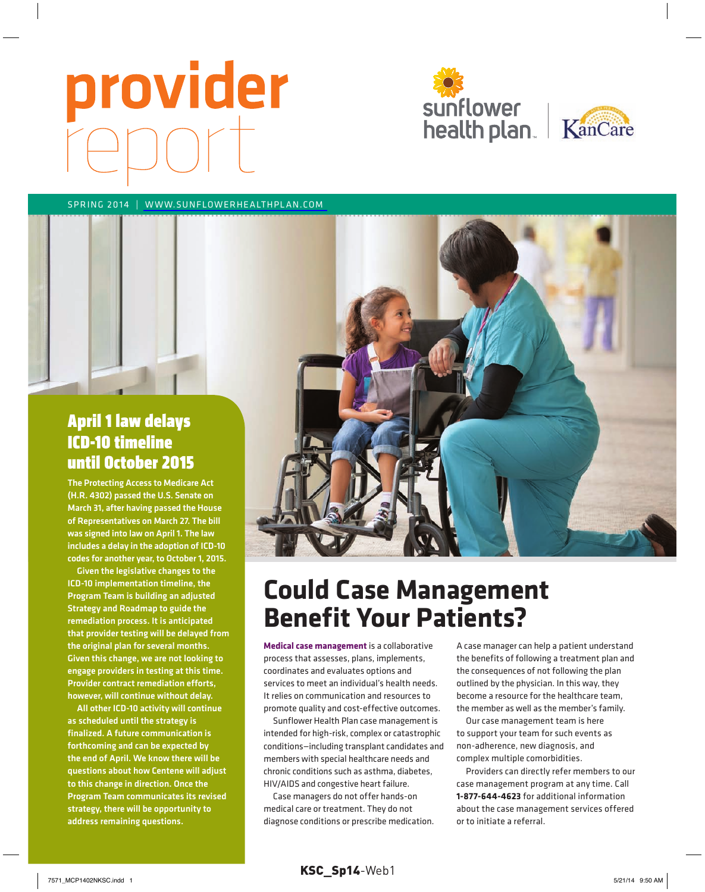# provider





#### Spring 2014 | [www.Sunflowerhealthplan.com](http://www.Sunflowerhealthplan.com)



The Protecting Access to Medicare Act (H.R. 4302) passed the U.S. Senate on March 31, after having passed the House of Representatives on March 27. The bill was signed into law on April 1. The law includes a delay in the adoption of ICD-10 codes for another year, to October 1, 2015.

Given the legislative changes to the ICD-10 implementation timeline, the Program Team is building an adjusted Strategy and Roadmap to guide the remediation process. It is anticipated that provider testing will be delayed from the original plan for several months. Given this change, we are not looking to engage providers in testing at this time. Provider contract remediation efforts, however, will continue without delay.

All other ICD-10 activity will continue as scheduled until the strategy is finalized. A future communication is forthcoming and can be expected by the end of April. We know there will be questions about how Centene will adjust to this change in direction. Once the Program Team communicates its revised strategy, there will be opportunity to address remaining questions.



# **Could Case Management Benefit Your Patients?**

**Medical case management** is a collaborative process that assesses, plans, implements, coordinates and evaluates options and services to meet an individual's health needs. it relies on communication and resources to promote quality and cost-effective outcomes.

Sunflower health plan case management is intended for high-risk, complex or catastrophic conditions—including transplant candidates and members with special healthcare needs and chronic conditions such as asthma, diabetes, hiV/aiDS and congestive heart failure.

case managers do not offer hands-on medical care or treatment. They do not diagnose conditions or prescribe medication. a case manager can help a patient understand the benefits of following a treatment plan and the consequences of not following the plan outlined by the physician. in this way, they become a resource for the healthcare team, the member as well as the member's family.

Our case management team is here to support your team for such events as non-adherence, new diagnosis, and complex multiple comorbidities.

providers can directly refer members to our case management program at any time. call **1-877-644-4623** for additional information about the case management services offered or to initiate a referral.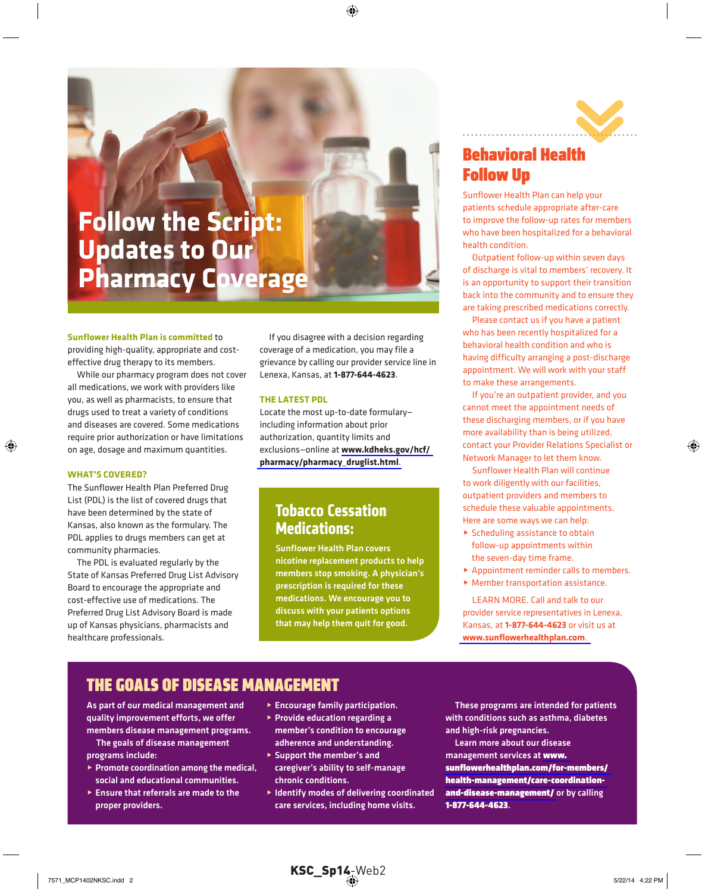# **Follow the Script: Updates to Our Pharmacy Coverage**

#### **Sunflower Health Plan is committed** to

providing high-quality, appropriate and costeffective drug therapy to its members.

While our pharmacy program does not cover all medications, we work with providers like you, as well as pharmacists, to ensure that drugs used to treat a variety of conditions and diseases are covered. Some medications require prior authorization or have limitations on age, dosage and maximum quantities.

#### **WHat'S Covered?**

The Sunflower Health Plan Preferred Drug List (PDL) is the list of covered drugs that have been determined by the state of Kansas, also known as the formulary. The PDL applies to drugs members can get at community pharmacies.

The PDL is evaluated regularly by the State of Kansas Preferred Drug List Advisory Board to encourage the appropriate and cost-effective use of medications. The Preferred Drug List Advisory Board is made up of Kansas physicians, pharmacists and healthcare professionals.

If you disagree with a decision regarding coverage of a medication, you may file a grievance by calling our provider service line in Lenexa, Kansas, at **1-877-644-4623**.

#### THE LATEST PDL

Locate the most up-to-date formulary including information about prior authorization, quantity limits and exclusions—online at **[www.kdheks.gov/hcf/](http://www.kdheks.gov/hcf/pharmacy/pharmacy_druglist.html) [pharmacy/pharmacy\\_druglist.html](http://www.kdheks.gov/hcf/pharmacy/pharmacy_druglist.html)**.

#### **Tobacco Cessation Medications:**

Sunflower Health Plan covers nicotine replacement products to help members stop smoking. A physician's prescription is required for these medications. We encourage you to discuss with your patients options that may help them quit for good.



### Behavioral health follow Up

Sunflower Health Plan can help your patients schedule appropriate after-care to improve the follow-up rates for members who have been hospitalized for a behavioral health condition.

Outpatient follow-up within seven days of discharge is vital to members' recovery. It is an opportunity to support their transition back into the community and to ensure they are taking prescribed medications correctly.

Please contact us if you have a patient who has been recently hospitalized for a behavioral health condition and who is having difficulty arranging a post-discharge appointment. We will work with your staff to make these arrangements.

If you're an outpatient provider, and you cannot meet the appointment needs of these discharging members, or if you have more availability than is being utilized, contact your Provider Relations Specialist or Network Manager to let them know.

Sunflower Health Plan will continue to work diligently with our facilities, outpatient providers and members to schedule these valuable appointments. Here are some ways we can help:

- $\triangleright$  Scheduling assistance to obtain follow-up appointments within the seven-day time frame.
- $\blacktriangleright$  Appointment reminder calls to members.
- $\blacktriangleright$  Member transportation assistance.

LeARN MORe. Call and talk to our provider service representatives in Lenexa, Kansas, at **1-877-644-4623** or visit us at **[www.sunflowerhealthplan.com](http://www.Sunflowerhealthplan.com)**.

#### The Goals of Disease ManaGeMenT

As part of our medical management and quality improvement efforts, we offer members disease management programs.

The goals of disease management programs include:

- $\triangleright$  Promote coordination among the medical, social and educational communities.
- $\blacktriangleright$  Ensure that referrals are made to the proper providers.
- $\blacktriangleright$  Encourage family participation.
- $\triangleright$  Provide education regarding a member's condition to encourage adherence and understanding.
- ▶ Support the member's and caregiver's ability to self-manage chronic conditions.
- $\blacktriangleright$  Identify modes of delivering coordinated care services, including home visits.

These programs are intended for patients with conditions such as asthma, diabetes and high-risk pregnancies.

Learn more about our disease management services at [www.](http://www.sunflowerhealthplan.com/for-members/health-management/care-coordinationand-disease-management/) [sunflowerhealthplan.com/for-members/](http://www.sunflowerhealthplan.com/for-members/health-management/care-coordinationand-disease-management/) [health-management/care-coordination](http://www.sunflowerhealthplan.com/for-members/health-management/care-coordinationand-disease-management/)[and-disease-management/](http://www.sunflowerhealthplan.com/for-members/health-management/care-coordinationand-disease-management/) or by calling 1-877-644-4623.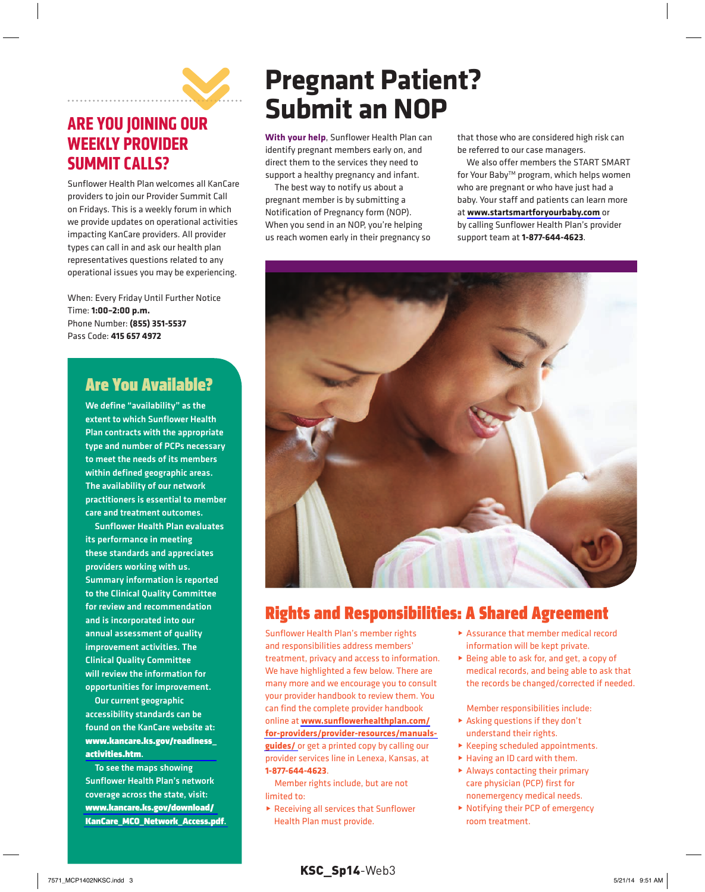

## **aRe YOu JOiNiNG OuR WeekLY PROViDeR SuMMiT caLLS?**

Sunflower health plan welcomes all Kancare providers to join our provider Summit call on Fridays. This is a weekly forum in which we provide updates on operational activities impacting Kancare providers. all provider types can call in and ask our health plan representatives questions related to any operational issues you may be experiencing.

When: Every Friday Until Further Notice time: **1:00–2:00 p.m.** phone number: **(855) 351-5537** pass code: **415 657 4972**

## Are You Available?

We define "availability" as the extent to which Sunflower Health Plan contracts with the appropriate type and number of PCPs necessary to meet the needs of its members within defined geographic areas. The availability of our network practitioners is essential to member care and treatment outcomes.

Sunflower Health Plan evaluates its performance in meeting these standards and appreciates providers working with us. Summary information is reported to the Clinical Quality Committee for review and recommendation and is incorporated into our annual assessment of quality improvement activities. The Clinical Quality Committee will review the information for opportunities for improvement.

Our current geographic accessibility standards can be found on the KanCare website at: [www.kancare.ks.gov/readiness\\_](http://www.kancare.ks.gov/readiness_activities.htm) activities.htm.

To see the maps showing Sunflower Health Plan's network coverage across the state, visit: [www.kancare.ks.gov/download/](http://www.kancare.ks.gov/download/KanCare_mCo_network_access.pdf) [KanCare\\_mCo\\_network\\_access.pdf](http://www.kancare.ks.gov/download/KanCare_mCo_network_access.pdf).

# **Pregnant Patient? Submit an NOP**

With your help, Sunflower Health Plan can identify pregnant members early on, and direct them to the services they need to support a healthy pregnancy and infant.

The best way to notify us about a pregnant member is by submitting a notification of pregnancy form (nop). When you send in an NOP, you're helping us reach women early in their pregnancy so that those who are considered high risk can be referred to our case managers.

We also offer members the START SMART for Your Baby™ program, which helps women who are pregnant or who have just had a baby. Your staff and patients can learn more at **[www.startsmartforyourbaby.com](http://www.startsmartforyourbaby.com)** or by calling Sunflower health plan's provider support team at **1-877-644-4623**.



## Rights and Responsibilities: A Shared Agreement

Sunflower health plan's member rights and responsibilities address members' treatment, privacy and access to information. We have highlighted a few below. There are many more and we encourage you to consult your provider handbook to review them. You can find the complete provider handbook online at **[www.sunflowerhealthplan.com/](http://www.sunflowerhealthplan.com/for-providers/provider-resources/manuals-guides/) [for-providers/provider-resources/manuals](http://www.sunflowerhealthplan.com/for-providers/provider-resources/manuals-guides/)[guides/](http://www.sunflowerhealthplan.com/for-providers/provider-resources/manuals-guides/)** or get a printed copy by calling our provider services line in lenexa, Kansas, at **1-877-644-4623**.

Member rights include, but are not limited to:

 $\blacktriangleright$  Receiving all services that Sunflower health plan must provide.

- ▶ Assurance that member medical record information will be kept private.
- ▶ Being able to ask for, and get, a copy of medical records, and being able to ask that the records be changed/corrected if needed.

member responsibilities include:

- ▶ Asking questions if they don't understand their rights.
- ▶ Keeping scheduled appointments.
- ▶ Having an ID card with them.
- $\blacktriangleright$  Always contacting their primary care physician (pcp) first for nonemergency medical needs.
- ▶ Notifying their PCP of emergency room treatment.